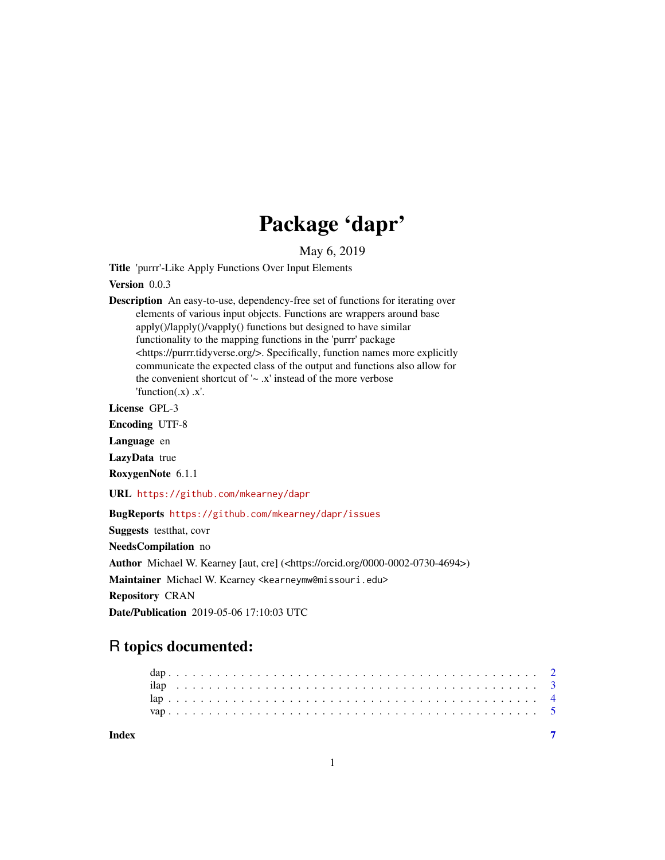## Package 'dapr'

May 6, 2019

Title 'purrr'-Like Apply Functions Over Input Elements

Version 0.0.3

Description An easy-to-use, dependency-free set of functions for iterating over elements of various input objects. Functions are wrappers around base apply()/lapply()/vapply() functions but designed to have similar functionality to the mapping functions in the 'purrr' package <https://purrr.tidyverse.org/>. Specifically, function names more explicitly communicate the expected class of the output and functions also allow for the convenient shortcut of  $\sim x'$  instead of the more verbose 'function $(x)$ .x'.

License GPL-3

Encoding UTF-8

Language en

LazyData true

RoxygenNote 6.1.1

URL <https://github.com/mkearney/dapr>

BugReports <https://github.com/mkearney/dapr/issues>

Suggests testthat, covr

NeedsCompilation no

Author Michael W. Kearney [aut, cre] (<https://orcid.org/0000-0002-0730-4694>)

Maintainer Michael W. Kearney <kearneymw@missouri.edu> Repository CRAN

Date/Publication 2019-05-06 17:10:03 UTC

### R topics documented:

| Index |  |  |  |  |  |  |  |  |  |  |  |  |  |  |  |  |  |  |  |  |  |  |  |
|-------|--|--|--|--|--|--|--|--|--|--|--|--|--|--|--|--|--|--|--|--|--|--|--|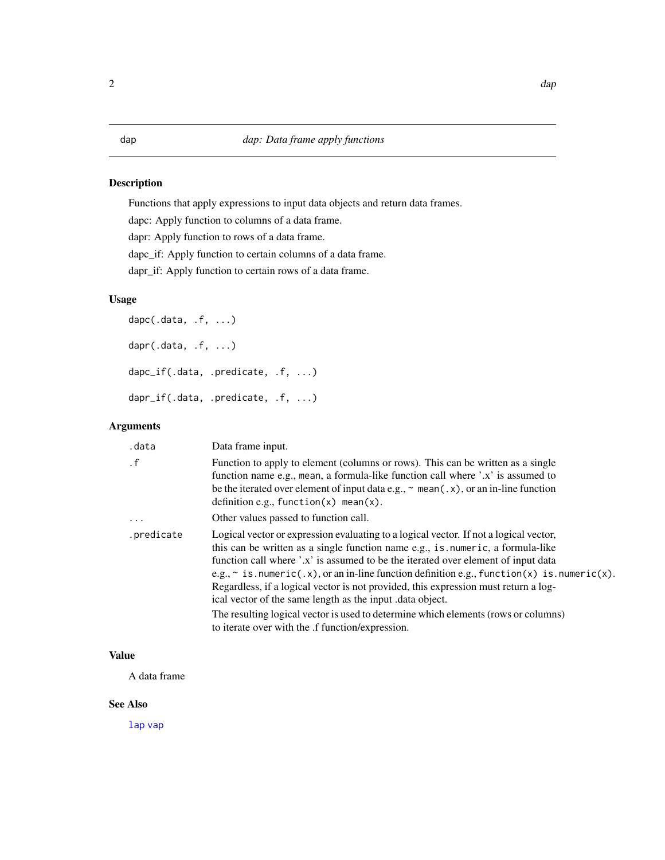<span id="page-1-1"></span><span id="page-1-0"></span>Functions that apply expressions to input data objects and return data frames. dapc: Apply function to columns of a data frame. dapr: Apply function to rows of a data frame. dapc\_if: Apply function to certain columns of a data frame. dapr\_if: Apply function to certain rows of a data frame.

#### Usage

```
dapc(.data, .f, ...)
dapr(.data, .f, ...)
dapc_if(.data, .predicate, .f, ...)
dapr_if(.data, .predicate, .f, ...)
```
#### Arguments

| .data      | Data frame input.                                                                                                                                                                                                                                                                                                                                                                                                                                                                                                                                                                                                                                             |
|------------|---------------------------------------------------------------------------------------------------------------------------------------------------------------------------------------------------------------------------------------------------------------------------------------------------------------------------------------------------------------------------------------------------------------------------------------------------------------------------------------------------------------------------------------------------------------------------------------------------------------------------------------------------------------|
| $\cdot$ f  | Function to apply to element (columns or rows). This can be written as a single<br>function name e.g., mean, a formula-like function call where '.x' is assumed to<br>be the iterated over element of input data e.g., $\sim$ mean(.x), or an in-line function<br>definition e.g., function $(x)$ mean $(x)$ .                                                                                                                                                                                                                                                                                                                                                |
| $\cdots$   | Other values passed to function call.                                                                                                                                                                                                                                                                                                                                                                                                                                                                                                                                                                                                                         |
| .predicate | Logical vector or expression evaluating to a logical vector. If not a logical vector,<br>this can be written as a single function name e.g., is numeric, a formula-like<br>function call where '.x' is assumed to be the iterated over element of input data<br>e.g., $\sim$ is numeric(.x), or an in-line function definition e.g., function(x) is numeric(x).<br>Regardless, if a logical vector is not provided, this expression must return a log-<br>ical vector of the same length as the input .data object.<br>The resulting logical vector is used to determine which elements (rows or columns)<br>to iterate over with the .f function/expression. |

#### Value

A data frame

#### See Also

[lap](#page-3-1) [vap](#page-4-1)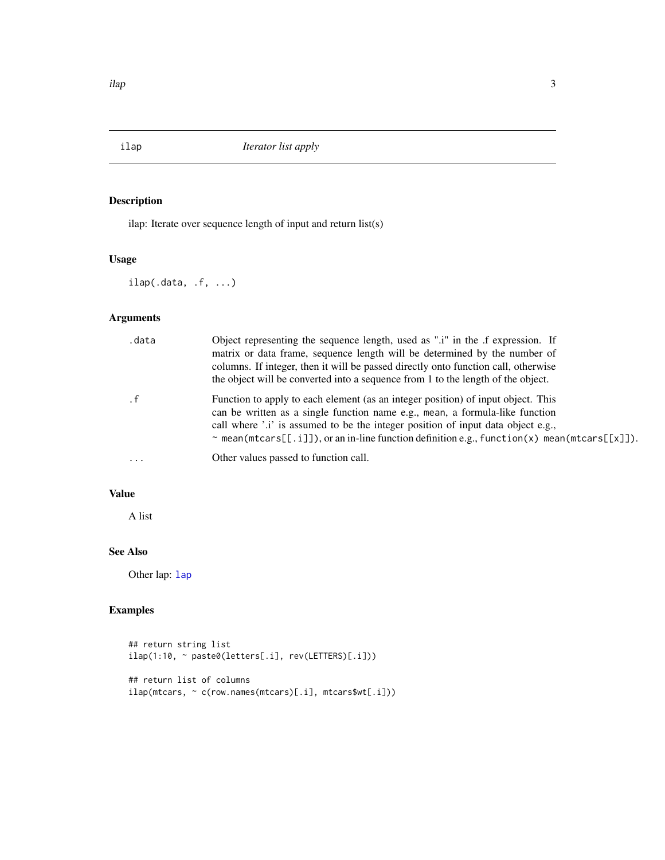<span id="page-2-1"></span><span id="page-2-0"></span>

ilap: Iterate over sequence length of input and return list(s)

#### Usage

ilap(.data, .f, ...)

#### Arguments

| .data     | Object representing the sequence length, used as ".i" in the .f expression. If<br>matrix or data frame, sequence length will be determined by the number of<br>columns. If integer, then it will be passed directly onto function call, otherwise<br>the object will be converted into a sequence from 1 to the length of the object.                          |
|-----------|----------------------------------------------------------------------------------------------------------------------------------------------------------------------------------------------------------------------------------------------------------------------------------------------------------------------------------------------------------------|
|           | Function to apply to each element (as an integer position) of input object. This<br>can be written as a single function name e.g., mean, a formula-like function<br>call where '.i' is assumed to be the integer position of input data object e.g.,<br>$\sim$ mean (mtcars [[.i]]), or an in-line function definition e.g., function (x) mean (mtcars [[x]]). |
| $\ddotsc$ | Other values passed to function call.                                                                                                                                                                                                                                                                                                                          |

#### Value

A list

#### See Also

Other [lap](#page-3-1): lap

#### Examples

```
## return string list
ilap(1:10, ~ paste0(letters[.i], rev(LETTERS)[.i]))
## return list of columns
ilap(mtcars, ~ c(row.names(mtcars)[.i], mtcars$wt[.i]))
```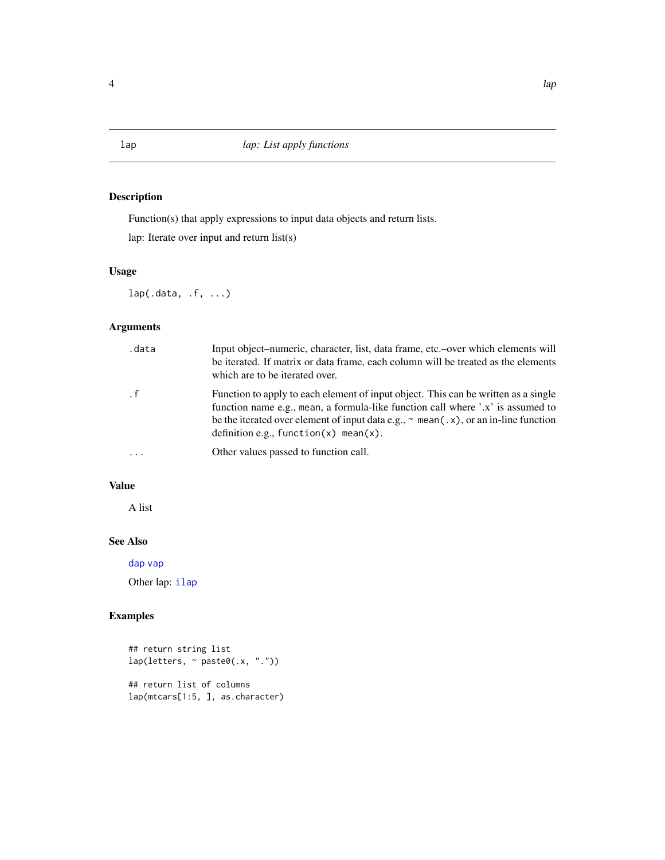<span id="page-3-1"></span><span id="page-3-0"></span>Function(s) that apply expressions to input data objects and return lists.

lap: Iterate over input and return list(s)

#### Usage

lap(.data, .f, ...)

#### Arguments

| .data   | Input object-numeric, character, list, data frame, etc.-over which elements will<br>be iterated. If matrix or data frame, each column will be treated as the elements<br>which are to be iterated over.                                                                                                                   |
|---------|---------------------------------------------------------------------------------------------------------------------------------------------------------------------------------------------------------------------------------------------------------------------------------------------------------------------------|
| . f     | Function to apply to each element of input object. This can be written as a single<br>function name e.g., mean, a formula-like function call where '.x' is assumed to<br>be the iterated over element of input data e.g., $\sim$ mean( $\cdot$ x), or an in-line function<br>definition e.g., function $(x)$ mean $(x)$ . |
| $\cdot$ | Other values passed to function call.                                                                                                                                                                                                                                                                                     |

#### Value

A list

#### See Also

[dap](#page-1-1) [vap](#page-4-1)

Other lap: [ilap](#page-2-1)

#### Examples

```
## return string list
lap(letters, ~ paste0(.x, "."))
## return list of columns
lap(mtcars[1:5, ], as.character)
```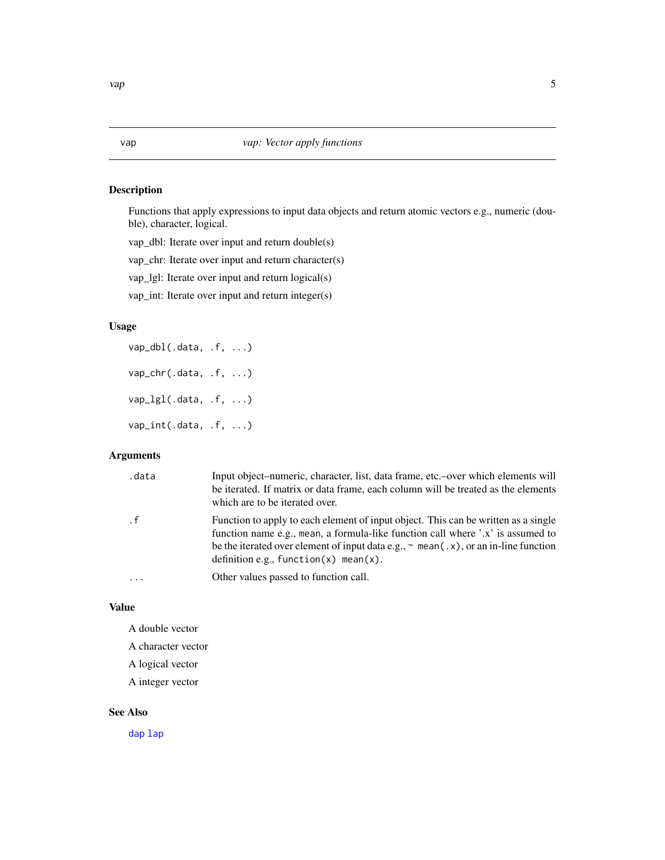<span id="page-4-1"></span><span id="page-4-0"></span>Functions that apply expressions to input data objects and return atomic vectors e.g., numeric (double), character, logical.

vap\_dbl: Iterate over input and return double(s)

vap\_chr: Iterate over input and return character(s)

vap\_lgl: Iterate over input and return logical(s)

vap\_int: Iterate over input and return integer(s)

#### Usage

vap\_dbl(.data, .f, ...) vap\_chr(.data, .f, ...) vap\_lgl(.data, .f, ...) vap\_int(.data, .f, ...)

#### Arguments

| .data     | Input object-numeric, character, list, data frame, etc.-over which elements will<br>be iterated. If matrix or data frame, each column will be treated as the elements<br>which are to be iterated over.                                                                                                                   |
|-----------|---------------------------------------------------------------------------------------------------------------------------------------------------------------------------------------------------------------------------------------------------------------------------------------------------------------------------|
| $\cdot$ f | Function to apply to each element of input object. This can be written as a single<br>function name e.g., mean, a formula-like function call where '.x' is assumed to<br>be the iterated over element of input data e.g., $\sim$ mean( $\cdot$ x), or an in-line function<br>definition e.g., function $(x)$ mean $(x)$ . |
| .         | Other values passed to function call.                                                                                                                                                                                                                                                                                     |

#### Value

A double vector

A character vector

A logical vector

A integer vector

#### See Also

[dap](#page-1-1) [lap](#page-3-1)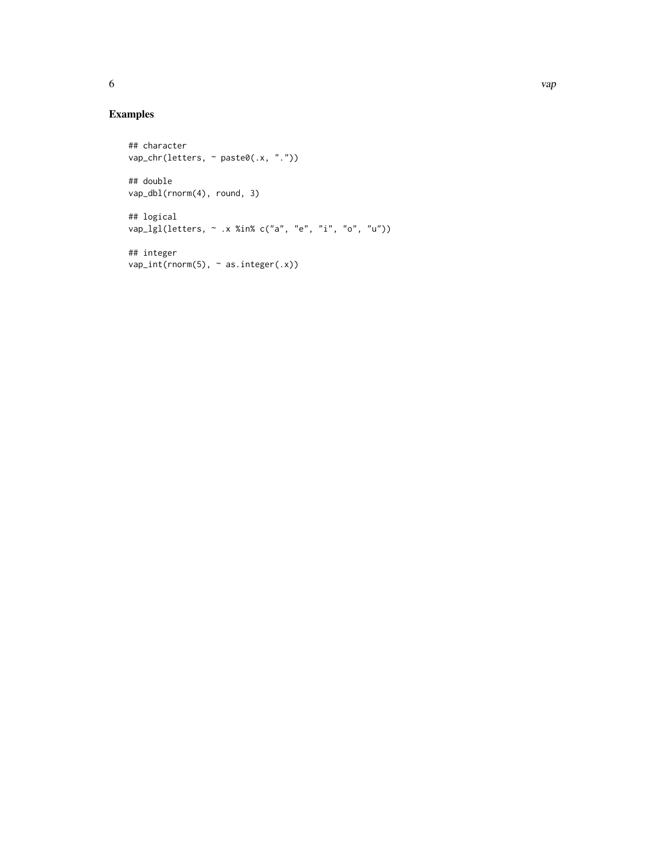### Examples

```
## character
vap_chr(letters, ~ paste0(.x, "."))
## double
vap_dbl(rnorm(4), round, 3)
## logical
vap_lgl(letters, ~ .x %in% c("a", "e", "i", "o", "u"))
## integer
vap\_int(rnorm(5), ~\sim as.integer(.x))
```